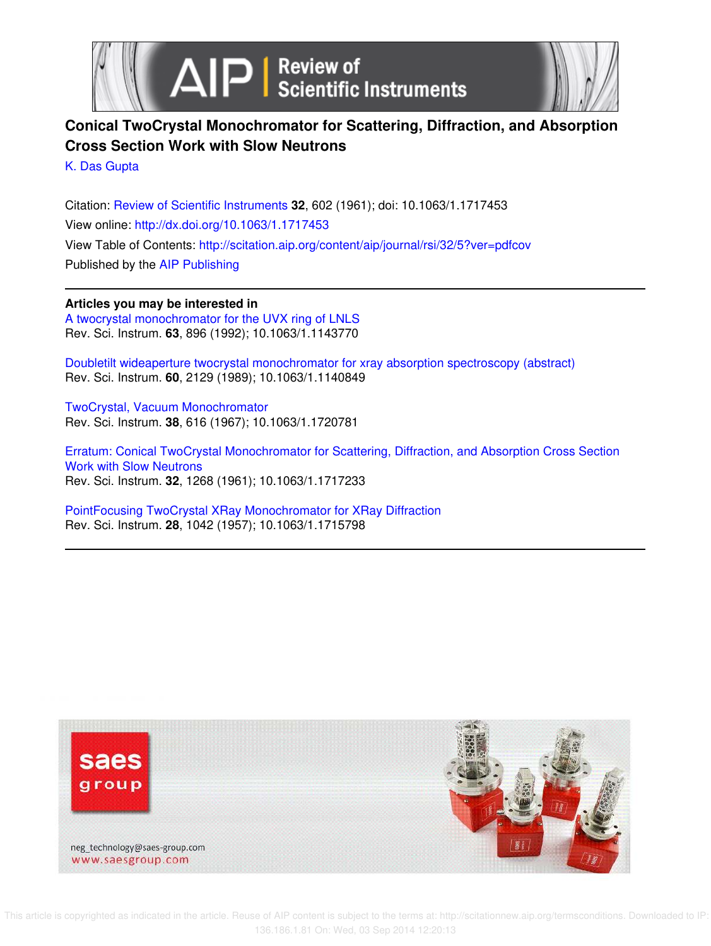



# **Conical TwoCrystal Monochromator for Scattering, Diffraction, and Absorption Cross Section Work with Slow Neutrons**

K. Das Gupta

Citation: Review of Scientific Instruments **32**, 602 (1961); doi: 10.1063/1.1717453 View online: http://dx.doi.org/10.1063/1.1717453 View Table of Contents: http://scitation.aip.org/content/aip/journal/rsi/32/5?ver=pdfcov Published by the AIP Publishing

## **Articles you may be interested in**

A twocrystal monochromator for the UVX ring of LNLS Rev. Sci. Instrum. **63**, 896 (1992); 10.1063/1.1143770

Doubletilt wideaperture twocrystal monochromator for xray absorption spectroscopy (abstract) Rev. Sci. Instrum. **60**, 2129 (1989); 10.1063/1.1140849

TwoCrystal, Vacuum Monochromator Rev. Sci. Instrum. **38**, 616 (1967); 10.1063/1.1720781

Erratum: Conical TwoCrystal Monochromator for Scattering, Diffraction, and Absorption Cross Section Work with Slow Neutrons Rev. Sci. Instrum. **32**, 1268 (1961); 10.1063/1.1717233

PointFocusing TwoCrystal XRay Monochromator for XRay Diffraction Rev. Sci. Instrum. **28**, 1042 (1957); 10.1063/1.1715798



 This article is copyrighted as indicated in the article. Reuse of AIP content is subject to the terms at: http://scitationnew.aip.org/termsconditions. Downloaded to IP: 136.186.1.81 On: Wed, 03 Sep 2014 12:20:13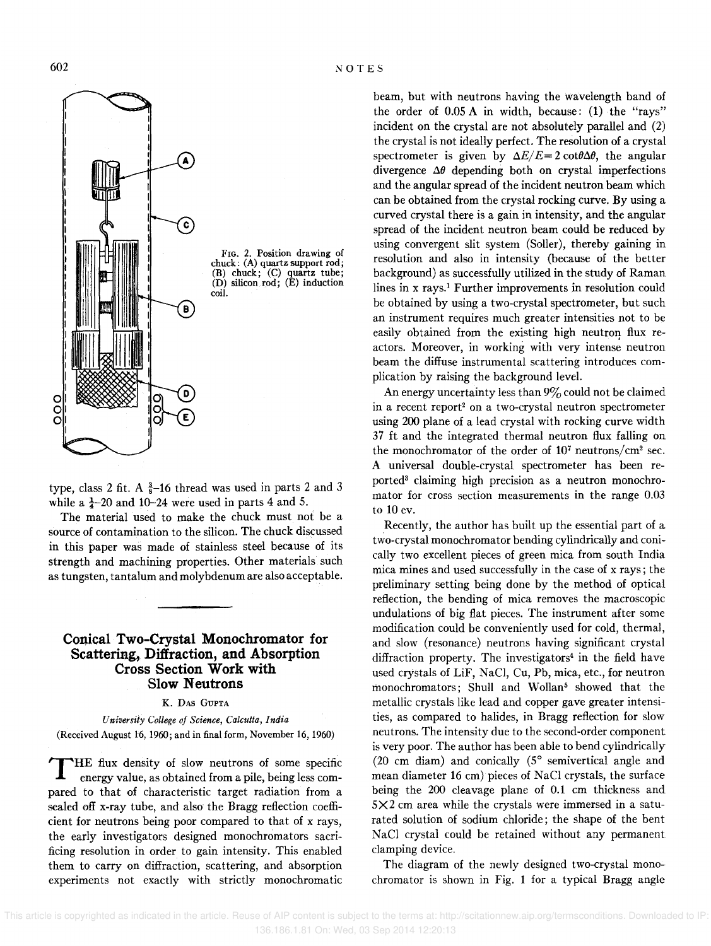

type, class 2 fit. A  $\frac{3}{8}$ -16 thread was used in parts 2 and 3 while a  $\frac{1}{4}$ -20 and 10-24 were used in parts 4 and 5.

The material used to make the chuck must not be a source of contamination to the silicon. The chuck discussed in this paper was made of stainless steel because of its strength and machining properties. Other materials such as tungsten, tantalum and molybdenum are also acceptable.

### **Conical Two-Crystal Monochromator for Scattering, Diffraction, and Absorption Cross Section Work with Slow Neutrons**

K. DAS GUPTA

*U niver sity College of Science, Calcutta, India*  (Received August 16, 1960; and in final form, November 16, 1960)

 $\mathbf T$ HE flux density of slow neutrons of some specific energy value, as obtained from a pile, being less compared to that of characteristic target radiation from a sealed off x-ray tube, and also the Bragg reflection coefficient for neutrons being poor compared to that of x rays, the early investigators designed monochromators sacrificing resolution in order to gain intensity. This enabled them to carry on diffraction, scattering, and absorption experiments not exactly with strictly monochromatic beam, but with neutrons having the wavelength band of the order of 0.05 A in width, because: (1) the "rays" incident on the crystal are not absolutely parallel and (2) the crystal is not ideally perfect. The resolution of a crystal spectrometer is given by  $\Delta E/E = 2 \cot \theta \Delta \theta$ , the angular divergence  $\Delta\theta$  depending both on crystal imperfections and the angular spread of the incident neutron beam which can be obtained from the crystal rocking curve. By using a curved crystal there is a gain in intensity, and the angular spread of the incident neutron beam could be reduced by using convergent slit system (Soller), thereby gaining in resolution and also in intensity (because of the better background) as successfully utilized in the study of Raman lines in x rays.! Further improvements in resolution could be obtained by using a two-crystal spectrometer, but such an instrument requires much greater intensities not to be easily obtained from the existing high neutron flux reactors. Moreover, in working with very intense neutron beam the diffuse instrumental scattering introduces complication by raising the background level.

An energy uncertainty less than  $9\%$  could not be claimed in a recent report<sup>2</sup> on a two-crystal neutron spectrometer using 200 plane of a lead crystal with rocking curve width 37 ft and the integrated thermal neutron flux falling on the monochromator of the order of 107 neutrons/cm2 sec. A universal double-crystal spectrometer has been reported3 claiming high precision as a neutron monochromator for cross section measurements in the range 0.03 to 10 ev.

Recently, the author has built up the essential part of a two-crystal monochromator bending cylindrically and conically two excellent pieces of green mica from south India mica mines and used successfully in the case of x rays; the preliminary setting being done by the method of optical reflection, the bending of mica removes the macroscopic undulations of big flat pieces. The instrument after some modification could be conveniently used for cold, thermal, and slow (resonance) neutrons having significant crystal diffraction property. The investigators<sup>4</sup> in the field have used crystals of LiF, NaCI, Cu, Pb, mica, etc., for neutron monochromators; Shull and Wollan<sup>5</sup> showed that the metallic crystals like lead and copper gave greater intensities, as compared to halides, in Bragg reflection for slow neutrons. The intensity due to the second-order component is very poor. The author has been able to bend cylindrically (20 em diam) and conically (S° semivertical angle and mean diameter 16 em) pieces of NaCl crystals, the surface being the 200 cleavage plane of 0.1 em thickness and  $5 \times 2$  cm area while the crystals were immersed in a saturated solution of sodium chloride; the shape of the bent NaCI crystal could be retained without any permanent clamping device.

The diagram of the newly designed two-crystal monochromator is shown in Fig. 1 for a typical Bragg angle

602